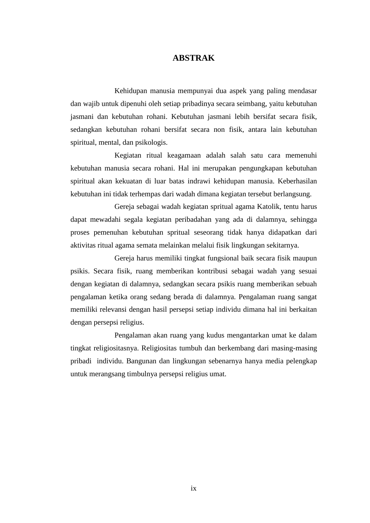#### **ABSTRAK**

Kehidupan manusia mempunyai dua aspek yang paling mendasar dan wajib untuk dipenuhi oleh setiap pribadinya secara seimbang, yaitu kebutuhan jasmani dan kebutuhan rohani. Kebutuhan jasmani lebih bersifat secara fisik, sedangkan kebutuhan rohani bersifat secara non fisik, antara lain kebutuhan spiritual, mental, dan psikologis.

Kegiatan ritual keagamaan adalah salah satu cara memenuhi kebutuhan manusia secara rohani. Hal ini merupakan pengungkapan kebutuhan spiritual akan kekuatan di luar batas indrawi kehidupan manusia. Keberhasilan kebutuhan ini tidak terhempas dari wadah dimana kegiatan tersebut berlangsung.

Gereja sebagai wadah kegiatan spritual agama Katolik, tentu harus dapat mewadahi segala kegiatan peribadahan yang ada di dalamnya, sehingga proses pemenuhan kebutuhan spritual seseorang tidak hanya didapatkan dari aktivitas ritual agama semata melainkan melalui fisik lingkungan sekitarnya.

Gereja harus memiliki tingkat fungsional baik secara fisik maupun psikis. Secara fisik, ruang memberikan kontribusi sebagai wadah yang sesuai dengan kegiatan di dalamnya, sedangkan secara psikis ruang memberikan sebuah pengalaman ketika orang sedang berada di dalamnya. Pengalaman ruang sangat memiliki relevansi dengan hasil persepsi setiap individu dimana hal ini berkaitan dengan persepsi religius.

Pengalaman akan ruang yang kudus mengantarkan umat ke dalam tingkat religiositasnya. Religiositas tumbuh dan berkembang dari masing-masing pribadi individu. Bangunan dan lingkungan sebenarnya hanya media pelengkap untuk merangsang timbulnya persepsi religius umat.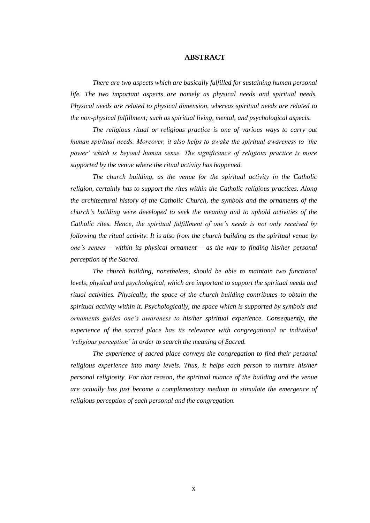#### **ABSTRACT**

*There are two aspects which are basically fulfilled for sustaining human personal life. The two important aspects are namely as physical needs and spiritual needs. Physical needs are related to physical dimension, whereas spiritual needs are related to the non-physical fulfillment; such as spiritual living, mental, and psychological aspects.* 

*The religious ritual or religious practice is one of various ways to carry out human spiritual needs. Moreover, it also helps to awake the spiritual awareness to 'the power' which is beyond human sense. The significance of religious practice is more supported by the venue where the ritual activity has happened.* 

*The church building, as the venue for the spiritual activity in the Catholic religion, certainly has to support the rites within the Catholic religious practices. Along the architectural history of the Catholic Church, the symbols and the ornaments of the church's building were developed to seek the meaning and to uphold activities of the Catholic rites. Hence, the spiritual fulfillment of one's needs is not only received by following the ritual activity. It is also from the church building as the spiritual venue by one's senses – within its physical ornament – as the way to finding his/her personal perception of the Sacred.* 

*The church building, nonetheless, should be able to maintain two functional levels, physical and psychological, which are important to support the spiritual needs and ritual activities. Physically, the space of the church building contributes to obtain the spiritual activity within it. Psychologically, the space which is supported by symbols and ornaments guides one's awareness to his/her spiritual experience. Consequently, the experience of the sacred place has its relevance with congregational or individual 'religious perception' in order to search the meaning of Sacred.* 

*The experience of sacred place conveys the congregation to find their personal religious experience into many levels. Thus, it helps each person to nurture his/her personal religiosity. For that reason, the spiritual nuance of the building and the venue are actually has just become a complementary medium to stimulate the emergence of religious perception of each personal and the congregation.*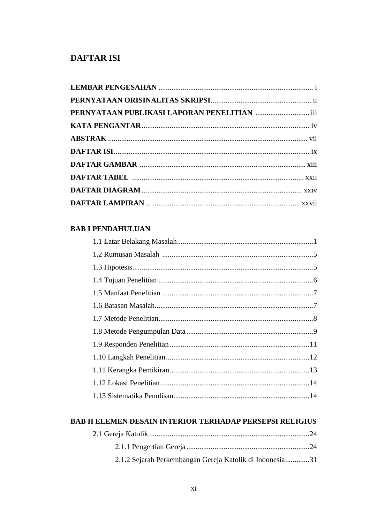## **DAFTAR ISI**

### **BAB I PENDAHULUAN**

### **BAB II ELEMEN DESAIN INTERIOR TERHADAP PERSEPSI RELIGIUS**

| 2.1.2 Sejarah Perkembangan Gereja Katolik di Indonesia31 |  |
|----------------------------------------------------------|--|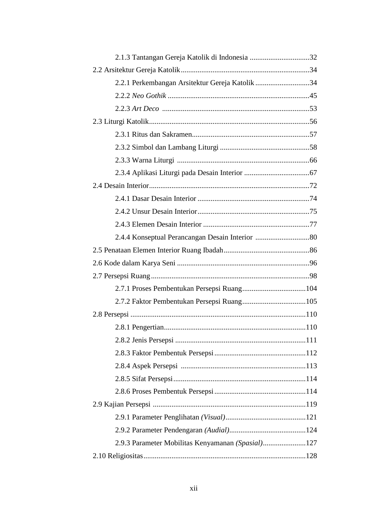| 2.2.1 Perkembangan Arsitektur Gereja Katolik 34   |  |
|---------------------------------------------------|--|
|                                                   |  |
|                                                   |  |
|                                                   |  |
|                                                   |  |
|                                                   |  |
|                                                   |  |
|                                                   |  |
|                                                   |  |
|                                                   |  |
|                                                   |  |
|                                                   |  |
|                                                   |  |
|                                                   |  |
|                                                   |  |
|                                                   |  |
|                                                   |  |
|                                                   |  |
|                                                   |  |
|                                                   |  |
|                                                   |  |
|                                                   |  |
|                                                   |  |
|                                                   |  |
|                                                   |  |
|                                                   |  |
|                                                   |  |
|                                                   |  |
| 2.9.3 Parameter Mobilitas Kenyamanan (Spasial)127 |  |
|                                                   |  |
|                                                   |  |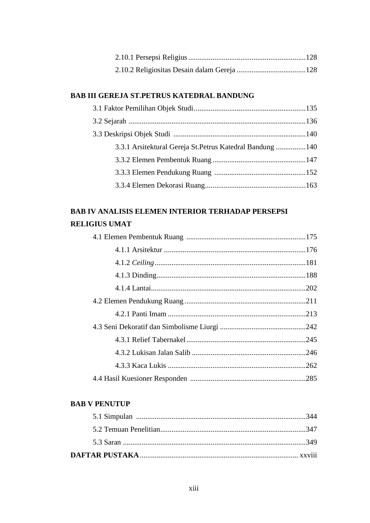### **BAB III GEREJA ST.PETRUS KATEDRAL BANDUNG**

| 3.3.1 Arsitektural Gereja St. Petrus Katedral Bandung 140 |  |
|-----------------------------------------------------------|--|
|                                                           |  |
|                                                           |  |
|                                                           |  |

# **BAB IV ANALISIS ELEMEN INTERIOR TERHADAP PERSEPSI RELIGIUS UMAT**

#### **BAB V PENUTUP**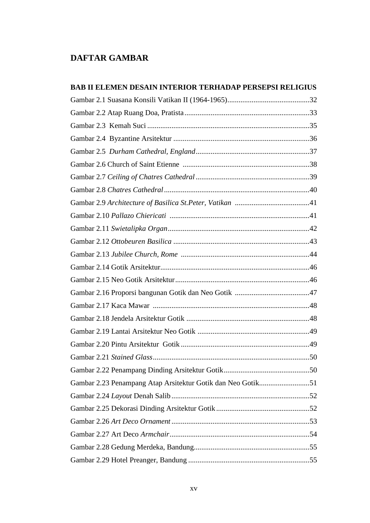# **DAFTAR GAMBAR**

| <b>BAB II ELEMEN DESAIN INTERIOR TERHADAP PERSEPSI RELIGIUS</b> |  |
|-----------------------------------------------------------------|--|
|                                                                 |  |
|                                                                 |  |
|                                                                 |  |
|                                                                 |  |
|                                                                 |  |
|                                                                 |  |
|                                                                 |  |
|                                                                 |  |
|                                                                 |  |
|                                                                 |  |
|                                                                 |  |
|                                                                 |  |
|                                                                 |  |
|                                                                 |  |
|                                                                 |  |
|                                                                 |  |
|                                                                 |  |
|                                                                 |  |
|                                                                 |  |
|                                                                 |  |
|                                                                 |  |
|                                                                 |  |
| Gambar 2.23 Penampang Atap Arsitektur Gotik dan Neo Gotik51     |  |
|                                                                 |  |
|                                                                 |  |
|                                                                 |  |
|                                                                 |  |
|                                                                 |  |
|                                                                 |  |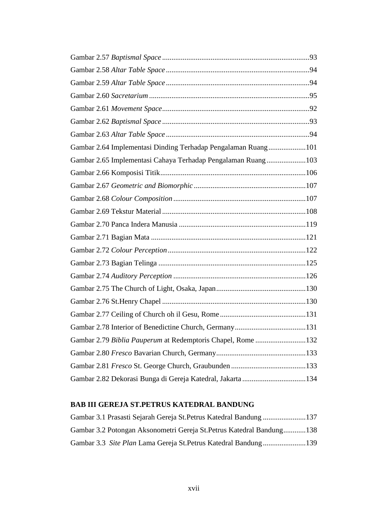| Gambar 2.64 Implementasi Dinding Terhadap Pengalaman Ruang101 |  |
|---------------------------------------------------------------|--|
| Gambar 2.65 Implementasi Cahaya Terhadap Pengalaman Ruang103  |  |
|                                                               |  |
|                                                               |  |
|                                                               |  |
|                                                               |  |
|                                                               |  |
|                                                               |  |
|                                                               |  |
|                                                               |  |
|                                                               |  |
|                                                               |  |
|                                                               |  |
|                                                               |  |
|                                                               |  |
| Gambar 2.79 Biblia Pauperum at Redemptoris Chapel, Rome132    |  |
|                                                               |  |
|                                                               |  |
| Gambar 2.82 Dekorasi Bunga di Gereja Katedral, Jakarta 134    |  |

### **BAB III GEREJA ST.PETRUS KATEDRAL BANDUNG**

| Gambar 3.1 Prasasti Sejarah Gereja St. Petrus Katedral Bandung 137    |  |
|-----------------------------------------------------------------------|--|
| Gambar 3.2 Potongan Aksonometri Gereja St. Petrus Katedral Bandung138 |  |
|                                                                       |  |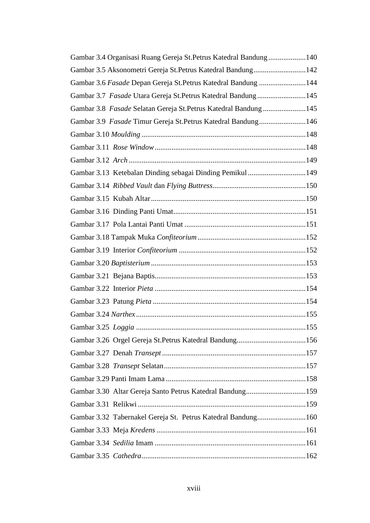| Gambar 3.4 Organisasi Ruang Gereja St. Petrus Katedral Bandung140 |  |
|-------------------------------------------------------------------|--|
| Gambar 3.5 Aksonometri Gereja St. Petrus Katedral Bandung142      |  |
| Gambar 3.6 Fasade Depan Gereja St. Petrus Katedral Bandung 144    |  |
| Gambar 3.7 Fasade Utara Gereja St. Petrus Katedral Bandung145     |  |
| Gambar 3.8 Fasade Selatan Gereja St.Petrus Katedral Bandung145    |  |
| Gambar 3.9 Fasade Timur Gereja St. Petrus Katedral Bandung146     |  |
|                                                                   |  |
|                                                                   |  |
|                                                                   |  |
| Gambar 3.13 Ketebalan Dinding sebagai Dinding Pemikul 149         |  |
|                                                                   |  |
|                                                                   |  |
|                                                                   |  |
|                                                                   |  |
|                                                                   |  |
|                                                                   |  |
|                                                                   |  |
|                                                                   |  |
|                                                                   |  |
|                                                                   |  |
|                                                                   |  |
|                                                                   |  |
|                                                                   |  |
|                                                                   |  |
|                                                                   |  |
|                                                                   |  |
| Gambar 3.30 Altar Gereja Santo Petrus Katedral Bandung159         |  |
|                                                                   |  |
| Gambar 3.32 Tabernakel Gereja St. Petrus Katedral Bandung160      |  |
|                                                                   |  |
|                                                                   |  |
|                                                                   |  |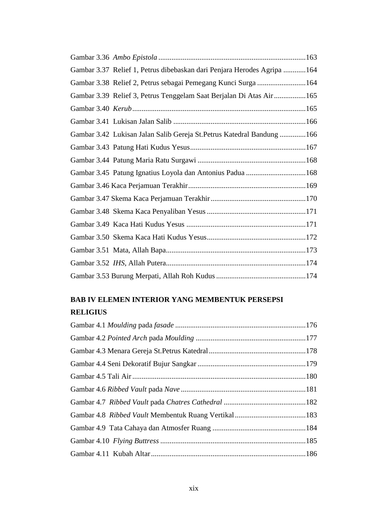| Gambar 3.37 Relief 1, Petrus dibebaskan dari Penjara Herodes Agripa 164 |  |
|-------------------------------------------------------------------------|--|
| Gambar 3.38 Relief 2, Petrus sebagai Pemegang Kunci Surga 164           |  |
| Gambar 3.39 Relief 3, Petrus Tenggelam Saat Berjalan Di Atas Air165     |  |
|                                                                         |  |
|                                                                         |  |
| Gambar 3.42 Lukisan Jalan Salib Gereja St. Petrus Katedral Bandung 166  |  |
|                                                                         |  |
|                                                                         |  |
| Gambar 3.45 Patung Ignatius Loyola dan Antonius Padua 168               |  |
|                                                                         |  |
|                                                                         |  |
|                                                                         |  |
|                                                                         |  |
|                                                                         |  |
|                                                                         |  |
|                                                                         |  |
|                                                                         |  |

# **BAB IV ELEMEN INTERIOR YANG MEMBENTUK PERSEPSI**

### **RELIGIUS**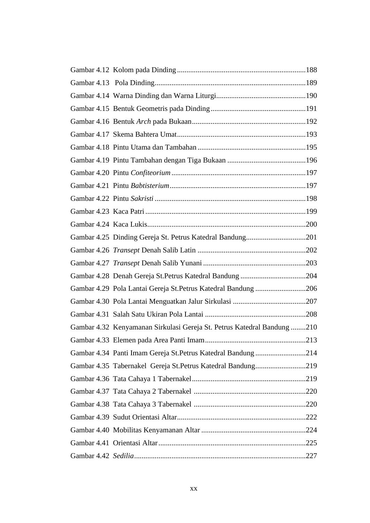| Gambar 4.25 Dinding Gereja St. Petrus Katedral Bandung201               |  |
|-------------------------------------------------------------------------|--|
|                                                                         |  |
|                                                                         |  |
|                                                                         |  |
| Gambar 4.29 Pola Lantai Gereja St. Petrus Katedral Bandung 206          |  |
|                                                                         |  |
|                                                                         |  |
| Gambar 4.32 Kenyamanan Sirkulasi Gereja St. Petrus Katedral Bandung 210 |  |
|                                                                         |  |
| Gambar 4.34 Panti Imam Gereja St. Petrus Katedral Bandung 214           |  |
| Gambar 4.35 Tabernakel Gereja St. Petrus Katedral Bandung219            |  |
|                                                                         |  |
|                                                                         |  |
|                                                                         |  |
|                                                                         |  |
|                                                                         |  |
|                                                                         |  |
|                                                                         |  |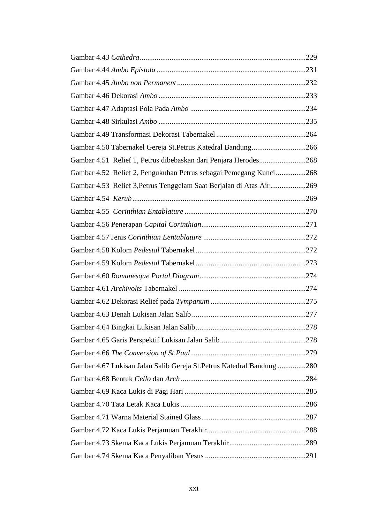| Gambar 4.50 Tabernakel Gereja St. Petrus Katedral Bandung266           |  |
|------------------------------------------------------------------------|--|
| Gambar 4.51 Relief 1, Petrus dibebaskan dari Penjara Herodes268        |  |
| Gambar 4.52 Relief 2, Pengukuhan Petrus sebagai Pemegang Kunci268      |  |
| Gambar 4.53 Relief 3, Petrus Tenggelam Saat Berjalan di Atas Air269    |  |
|                                                                        |  |
|                                                                        |  |
|                                                                        |  |
|                                                                        |  |
|                                                                        |  |
|                                                                        |  |
|                                                                        |  |
|                                                                        |  |
|                                                                        |  |
|                                                                        |  |
|                                                                        |  |
|                                                                        |  |
|                                                                        |  |
| Gambar 4.67 Lukisan Jalan Salib Gereja St. Petrus Katedral Bandung 280 |  |
|                                                                        |  |
|                                                                        |  |
|                                                                        |  |
|                                                                        |  |
|                                                                        |  |
|                                                                        |  |
|                                                                        |  |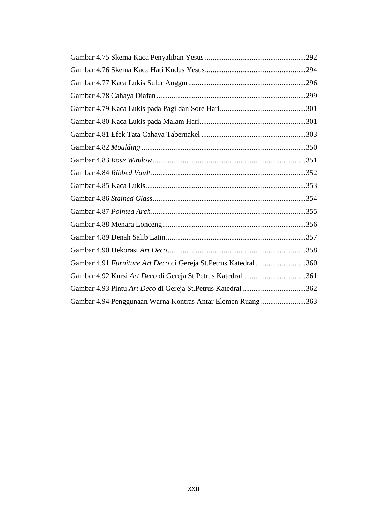| Gambar 4.91 Furniture Art Deco di Gereja St.Petrus Katedral 360 |  |
|-----------------------------------------------------------------|--|
| Gambar 4.92 Kursi Art Deco di Gereja St.Petrus Katedral361      |  |
| Gambar 4.93 Pintu Art Deco di Gereja St.Petrus Katedral 362     |  |
| Gambar 4.94 Penggunaan Warna Kontras Antar Elemen Ruang 363     |  |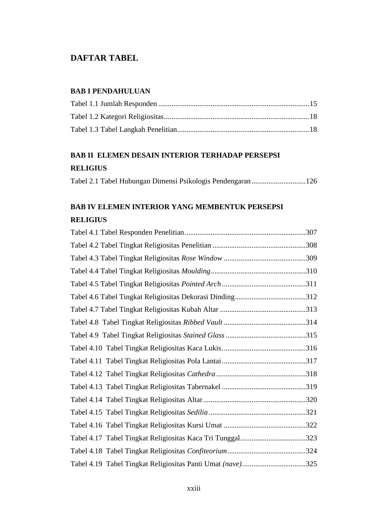# **DAFTAR TABEL**

#### **BAB I PENDAHULUAN**

# **BAB II ELEMEN DESAIN INTERIOR TERHADAP PERSEPSI RELIGIUS**

| Tabel 2.1 Tabel Hubungan Dimensi Psikologis Pendengaran 126 |  |
|-------------------------------------------------------------|--|
|-------------------------------------------------------------|--|

# **BAB IV ELEMEN INTERIOR YANG MEMBENTUK PERSEPSI RELIGIUS**

| Tabel 4.17 Tabel Tingkat Religiositas Kaca Tri Tunggal323  |
|------------------------------------------------------------|
|                                                            |
| Tabel 4.19 Tabel Tingkat Religiositas Panti Umat (nave)325 |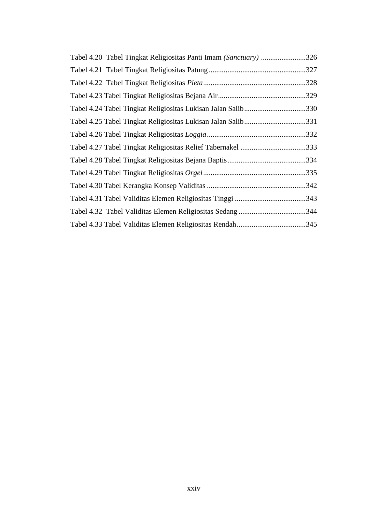| Tabel 4.20 Tabel Tingkat Religiositas Panti Imam (Sanctuary) 326 |      |
|------------------------------------------------------------------|------|
|                                                                  | .327 |
|                                                                  | .328 |
|                                                                  |      |
| Tabel 4.24 Tabel Tingkat Religiositas Lukisan Jalan Salib330     |      |
| Tabel 4.25 Tabel Tingkat Religiositas Lukisan Jalan Salib331     |      |
|                                                                  |      |
| Tabel 4.27 Tabel Tingkat Religiositas Relief Tabernakel 333      |      |
|                                                                  |      |
|                                                                  |      |
|                                                                  | .342 |
|                                                                  |      |
|                                                                  |      |
|                                                                  |      |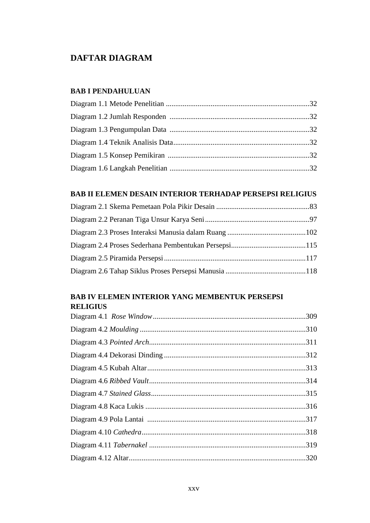# **DAFTAR DIAGRAM**

#### **BAB I PENDAHULUAN**

#### **BAB II ELEMEN DESAIN INTERIOR TERHADAP PERSEPSI RELIGIUS**

### **BAB IV ELEMEN INTERIOR YANG MEMBENTUK PERSEPSI RELIGIUS**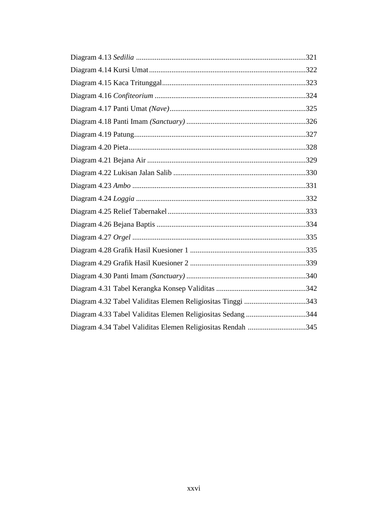| Diagram 4.32 Tabel Validitas Elemen Religiositas Tinggi 343 |  |
|-------------------------------------------------------------|--|
| Diagram 4.33 Tabel Validitas Elemen Religiositas Sedang 344 |  |
| Diagram 4.34 Tabel Validitas Elemen Religiositas Rendah 345 |  |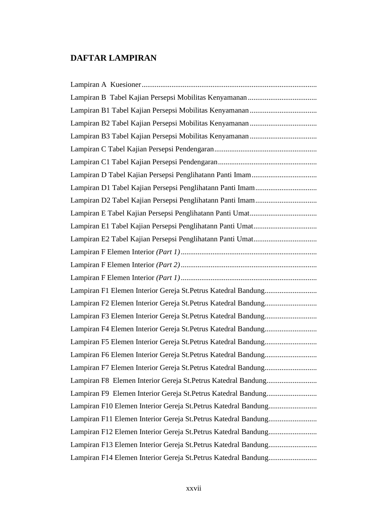# **DAFTAR LAMPIRAN**

| Lampiran F3 Elemen Interior Gereja St.Petrus Katedral Bandung  |
|----------------------------------------------------------------|
|                                                                |
| Lampiran F5 Elemen Interior Gereja St.Petrus Katedral Bandung  |
| Lampiran F6 Elemen Interior Gereja St.Petrus Katedral Bandung  |
| Lampiran F7 Elemen Interior Gereja St.Petrus Katedral Bandung  |
| Lampiran F8 Elemen Interior Gereja St.Petrus Katedral Bandung  |
| Lampiran F9 Elemen Interior Gereja St.Petrus Katedral Bandung  |
| Lampiran F10 Elemen Interior Gereja St.Petrus Katedral Bandung |
| Lampiran F11 Elemen Interior Gereja St.Petrus Katedral Bandung |
| Lampiran F12 Elemen Interior Gereja St.Petrus Katedral Bandung |
|                                                                |
| Lampiran F14 Elemen Interior Gereja St.Petrus Katedral Bandung |